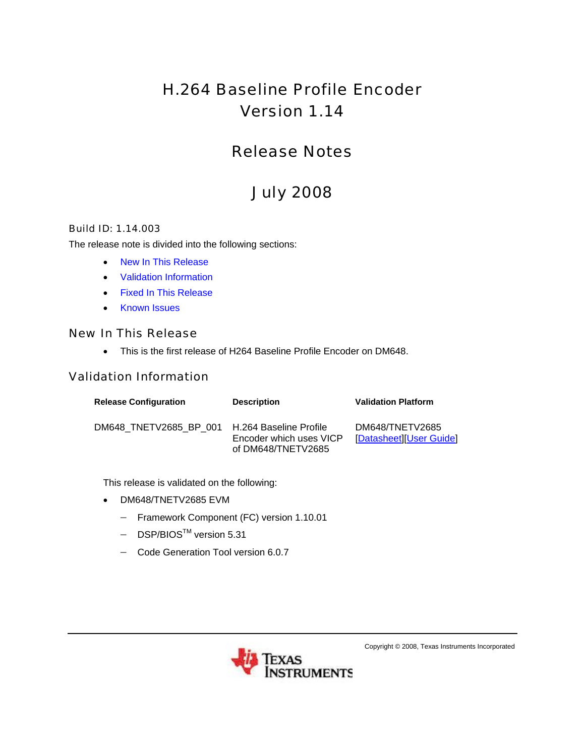# H.264 Baseline Profile Encoder Version 1.14

## Release Notes

## July 2008

#### Build ID: 1.14.003

The release note is divided into the following sections:

- [New In This Release](#page-0-0)
- [Validation Information](#page-0-1)
- [Fixed In This Release](#page-1-0)
- [Known Issues](#page-1-1)

#### <span id="page-0-0"></span>New In This Release

• This is the first release of H264 Baseline Profile Encoder on DM648.

### <span id="page-0-1"></span>Validation Information

| <b>Release Configuration</b> | <b>Description</b>                                                      | <b>Validation Platform</b>                 |
|------------------------------|-------------------------------------------------------------------------|--------------------------------------------|
| DM648 TNETV2685 BP 001       | H.264 Baseline Profile<br>Encoder which uses VICP<br>of DM648/TNETV2685 | DM648/TNETV2685<br>[Datasheet][User Guide] |

This release is validated on the following:

- DM648/TNETV2685 EVM
	- − Framework Component (FC) version 1.10.01
	- − DSP/BIOSTM version 5.31
	- − Code Generation Tool version 6.0.7



Copyright © 2008, Texas Instruments Incorporated